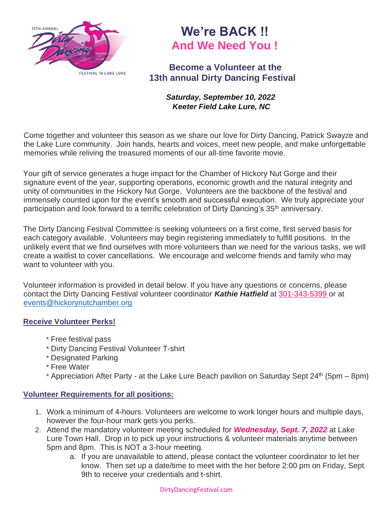

# **We're BACK !! And We Need You !**

## **Become a Volunteer at the 13th annual Dirty Dancing Festival**

 *Saturday, September 10, 2022 Keeter Field Lake Lure, NC*

Come together and volunteer this season as we share our love for Dirty Dancing, Patrick Swayze and the Lake Lure community. Join hands, hearts and voices, meet new people, and make unforgettable memories while reliving the treasured moments of our all-time favorite movie.

Your gift of service generates a huge impact for the Chamber of Hickory Nut Gorge and their signature event of the year, supporting operations, economic growth and the natural integrity and unity of communities in the Hickory Nut Gorge. Volunteers are the backbone of the festival and immensely counted upon for the event's smooth and successful execution. We truly appreciate your participation and look forward to a terrific celebration of Dirty Dancing's 35<sup>th</sup> anniversary.

The Dirty Dancing Festival Committee is seeking volunteers on a first come, first served basis for each category available. Volunteers may begin registering immediately to fulfill positions. In the unlikely event that we find ourselves with more volunteers than we need for the various tasks, we will create a waitlist to cover cancellations. We encourage and welcome friends and family who may want to volunteer with you.

Volunteer information is provided in detail below. If you have any questions or concerns, please contact the Dirty Dancing Festival volunteer coordinator *Kathie Hatfield* at 301-343-5399 or at [events@hickorynutchamber.org](mailto:events@hickorynutchamber.org)

## **Receive Volunteer Perks!**

- \* Free festival pass
- \* Dirty Dancing Festival Volunteer T-shirt
- \* Designated Parking
- \* Free Water
- \* Appreciation After Party at the Lake Lure Beach pavilion on Saturday Sept  $24<sup>th</sup>$  (5pm 8pm)

#### **Volunteer Requirements for all positions:**

- 1. Work a minimum of 4-hours. Volunteers are welcome to work longer hours and multiple days, however the four-hour mark gets you perks.
- 2. Attend the mandatory volunteer meeting scheduled for *Wednesday, Sept. 7, 2022* at Lake Lure Town Hall. Drop in to pick up your instructions & volunteer materials anytime between 5pm and 8pm. This is NOT a 3-hour meeting.
	- a. If you are unavailable to attend, please contact the volunteer coordinator to let her know. Then set up a date/time to meet with the her before 2:00 pm on Friday, Sept. 9th to receive your credentials and t-shirt.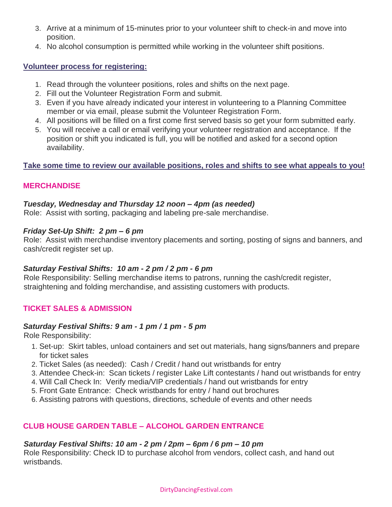- 3. Arrive at a minimum of 15-minutes prior to your volunteer shift to check-in and move into position.
- 4. No alcohol consumption is permitted while working in the volunteer shift positions.

#### **Volunteer process for registering:**

- 1. Read through the volunteer positions, roles and shifts on the next page.
- 2. Fill out the Volunteer Registration Form and submit.
- 3. Even if you have already indicated your interest in volunteering to a Planning Committee member or via email, please submit the Volunteer Registration Form.
- 4. All positions will be filled on a first come first served basis so get your form submitted early.
- 5. You will receive a call or email verifying your volunteer registration and acceptance. If the position or shift you indicated is full, you will be notified and asked for a second option availability.

## **Take some time to review our available positions, roles and shifts to see what appeals to you!**

## **MERCHANDISE**

#### *Tuesday, Wednesday and Thursday 12 noon – 4pm (as needed)*

Role: Assist with sorting, packaging and labeling pre-sale merchandise.

#### *Friday Set-Up Shift: 2 pm – 6 pm*

Role: Assist with merchandise inventory placements and sorting, posting of signs and banners, and cash/credit register set up.

## *Saturday Festival Shifts: 10 am - 2 pm / 2 pm - 6 pm*

Role Responsibility: Selling merchandise items to patrons, running the cash/credit register, straightening and folding merchandise, and assisting customers with products.

## **TICKET SALES & ADMISSION**

## *Saturday Festival Shifts: 9 am - 1 pm / 1 pm - 5 pm*

Role Responsibility:

- 1. Set-up: Skirt tables, unload containers and set out materials, hang signs/banners and prepare for ticket sales
- 2. Ticket Sales (as needed): Cash / Credit / hand out wristbands for entry
- 3. Attendee Check-in: Scan tickets / register Lake Lift contestants / hand out wristbands for entry
- 4. Will Call Check In: Verify media/VIP credentials / hand out wristbands for entry
- 5. Front Gate Entrance: Check wristbands for entry / hand out brochures
- 6. Assisting patrons with questions, directions, schedule of events and other needs

## **CLUB HOUSE GARDEN TABLE – ALCOHOL GARDEN ENTRANCE**

## *Saturday Festival Shifts: 10 am - 2 pm / 2pm – 6pm / 6 pm – 10 pm*

Role Responsibility: Check ID to purchase alcohol from vendors, collect cash, and hand out wristbands.

DirtyDancingFestival.com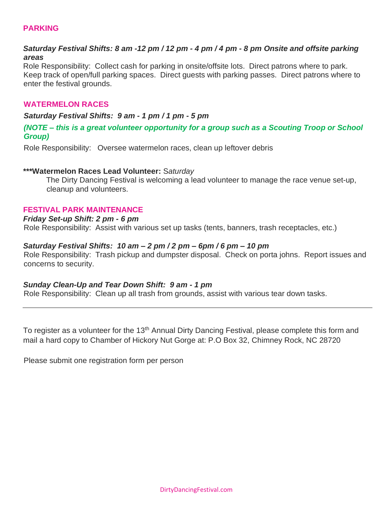#### **PARKING**

#### *Saturday Festival Shifts: 8 am -12 pm / 12 pm - 4 pm / 4 pm - 8 pm Onsite and offsite parking areas*

Role Responsibility: Collect cash for parking in onsite/offsite lots. Direct patrons where to park. Keep track of open/full parking spaces. Direct guests with parking passes. Direct patrons where to enter the festival grounds.

#### **WATERMELON RACES**

#### *Saturday Festival Shifts: 9 am - 1 pm / 1 pm - 5 pm*

*(NOTE – this is a great volunteer opportunity for a group such as a Scouting Troop or School Group)*

Role Responsibility: Oversee watermelon races, clean up leftover debris

#### **\*\*\*Watermelon Races Lead Volunteer:** S*aturday*

The Dirty Dancing Festival is welcoming a lead volunteer to manage the race venue set-up, cleanup and volunteers.

#### **FESTIVAL PARK MAINTENANCE**

#### *Friday Set-up Shift: 2 pm - 6 pm*

Role Responsibility: Assist with various set up tasks (tents, banners, trash receptacles, etc.)

#### *Saturday Festival Shifts: 10 am – 2 pm / 2 pm – 6pm / 6 pm – 10 pm*

Role Responsibility: Trash pickup and dumpster disposal. Check on porta johns. Report issues and concerns to security.

#### *Sunday Clean-Up and Tear Down Shift: 9 am - 1 pm*

Role Responsibility: Clean up all trash from grounds, assist with various tear down tasks.

To register as a volunteer for the 13<sup>th</sup> Annual Dirty Dancing Festival, please complete this form and mail a hard copy to Chamber of Hickory Nut Gorge at: P.O Box 32, Chimney Rock, NC 28720

Please submit one registration form per person